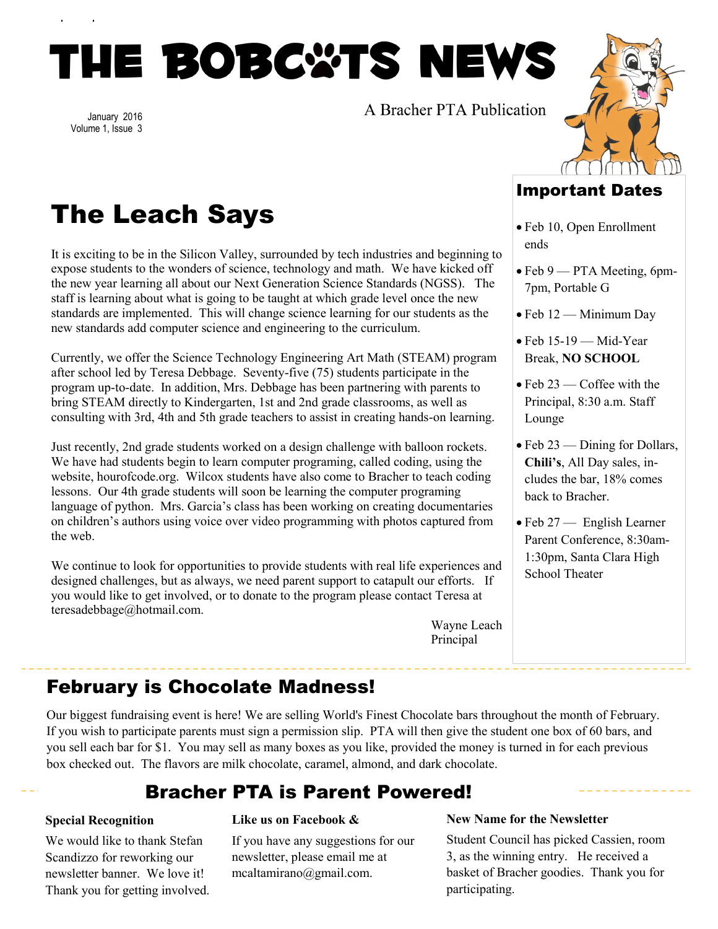# THE BOBC&TS NEWS

January 2016 Volume 1, Issue 3 A Bracher PTA Publication



# The Leach Says

It is exciting to be in the Silicon Valley, surrounded by tech industries and beginning to expose students to the wonders of science, technology and math. We have kicked off the new year learning all about our Next Generation Science Standards (NGSS). The staff is learning about what is going to be taught at which grade level once the new standards are implemented. This will change science learning for our students as the new standards add computer science and engineering to the curriculum.

Currently, we offer the Science Technology Engineering Art Math (STEAM) program after school led by Teresa Debbage. Seventy-five (75) students participate in the program up-to-date. In addition, Mrs. Debbage has been partnering with parents to bring STEAM directly to Kindergarten, 1st and 2nd grade classrooms, as well as consulting with 3rd, 4th and 5th grade teachers to assist in creating hands-on learning.

Just recently, 2nd grade students worked on a design challenge with balloon rockets. We have had students begin to learn computer programing, called coding, using the website, hourofcode.org. Wilcox students have also come to Bracher to teach coding lessons. Our 4th grade students will soon be learning the computer programing language of python. Mrs. Garcia's class has been working on creating documentaries on children's authors using voice over video programming with photos captured from the web.

We continue to look for opportunities to provide students with real life experiences and designed challenges, but as always, we need parent support to catapult our efforts. If you would like to get involved, or to donate to the program please contact Teresa at teresadebbage@hotmail.com.

Wayne Leach Principal

## Important Dates

- Feb 10, Open Enrollment ends
- Feb 9 PTA Meeting, 6pm-7pm, Portable G
- Feb 12 Minimum Day
- $\bullet$  Feb 15-19 Mid-Year Break, **NO SCHOOL**
- $\bullet$  Feb 23 Coffee with the Principal, 8:30 a.m. Staff Lounge
- Feb 23 Dining for Dollars, **Chili's**, All Day sales, includes the bar, 18% comes back to Bracher.
- Feb 27 English Learner Parent Conference, 8:30am-1:30pm, Santa Clara High School Theater

February is Chocolate Madness!

Our biggest fundraising event is here! We are selling World's Finest Chocolate bars throughout the month of February. If you wish to participate parents must sign a permission slip. PTA will then give the student one box of 60 bars, and you sell each bar for \$1. You may sell as many boxes as you like, provided the money is turned in for each previous box checked out. The flavors are milk chocolate, caramel, almond, and dark chocolate.

# Bracher PTA is Parent Powered!

## **Special Recognition**

We would like to thank Stefan Scandizzo for reworking our newsletter banner. We love it! Thank you for getting involved.

## **Like us on Facebook &**

If you have any suggestions for our newsletter, please email me at mcaltamirano@gmail.com.

## **New Name for the Newsletter**

Student Council has picked Cassien, room 3, as the winning entry. He received a basket of Bracher goodies. Thank you for participating.